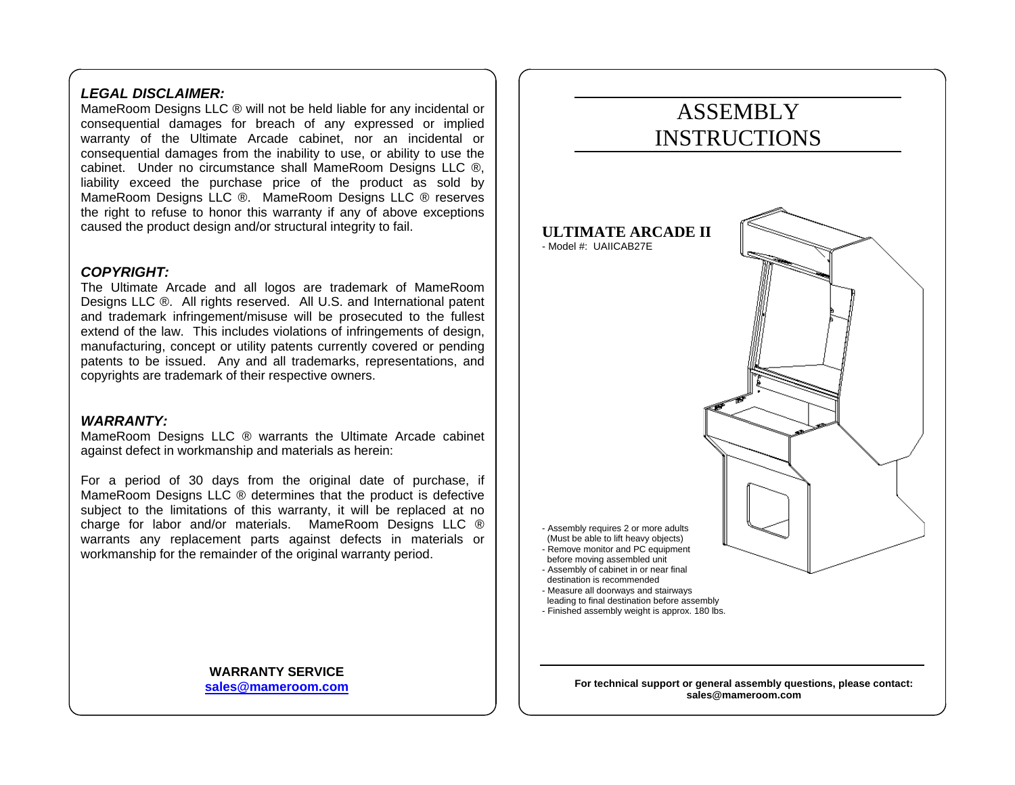#### *LEGAL DISCLAIMER:*

MameRoom Designs LLC ® will not be held liable for any incidental or consequential damages for breach of any expressed or implied warranty of the Ultimate Arcade cabinet, nor an incidental or consequential damages from the inability to use, or ability to use the cabinet. Under no circumstance shall MameRoom Designs LLC ®, liability exceed the purchase price of the product as sold by MameRoom Designs LLC ®. MameRoom Designs LLC ® reserves the right to refuse to honor this warranty if any of above exceptions caused the product design and/or structural integrity to fail.

#### *COPYRIGHT:*

The Ultimate Arcade and all logos are trademark of MameRoom Designs LLC ®. All rights reserved. All U.S. and International patent and trademark infringement/misuse will be prosecuted to the fullest extend of the law. This includes violations of infringements of design, manufacturing, concept or utility patents currently covered or pending patents to be issued. Any and all trademarks, representations, and copyrights are trademark of their respective owners.

#### *WARRANTY:*

MameRoom Designs LLC ® warrants the Ultimate Arcade cabinet against defect in workmanship and materials as herein:

For a period of 30 days from the original date of purchase, if MameRoom Designs LLC ® determines that the product is defective subject to the limitations of this warranty, it will be replaced at no charge for labor and/or materials. MameRoom Designs LLC ® warrants any replacement parts against defects in materials or workmanship for the remainder of the original warranty period.

> **WARRANTY SERVICE sales@mameroom.com**

# ASSEMBLY INSTRUCTIONS**ULTIMATE ARCADE II** - Model #: UAIICAB27E - Assembly requires 2 or more adults (Must be able to lift heavy objects) - Remove monitor and PC equipment before moving assembled unit - Assembly of cabinet in or near final destination is recommended - Measure all doorways and stairways leading to final destination before assembly - Finished assembly weight is approx. 180 lbs.

**For technical support or general assembly questions, please contact: sales@mameroom.com**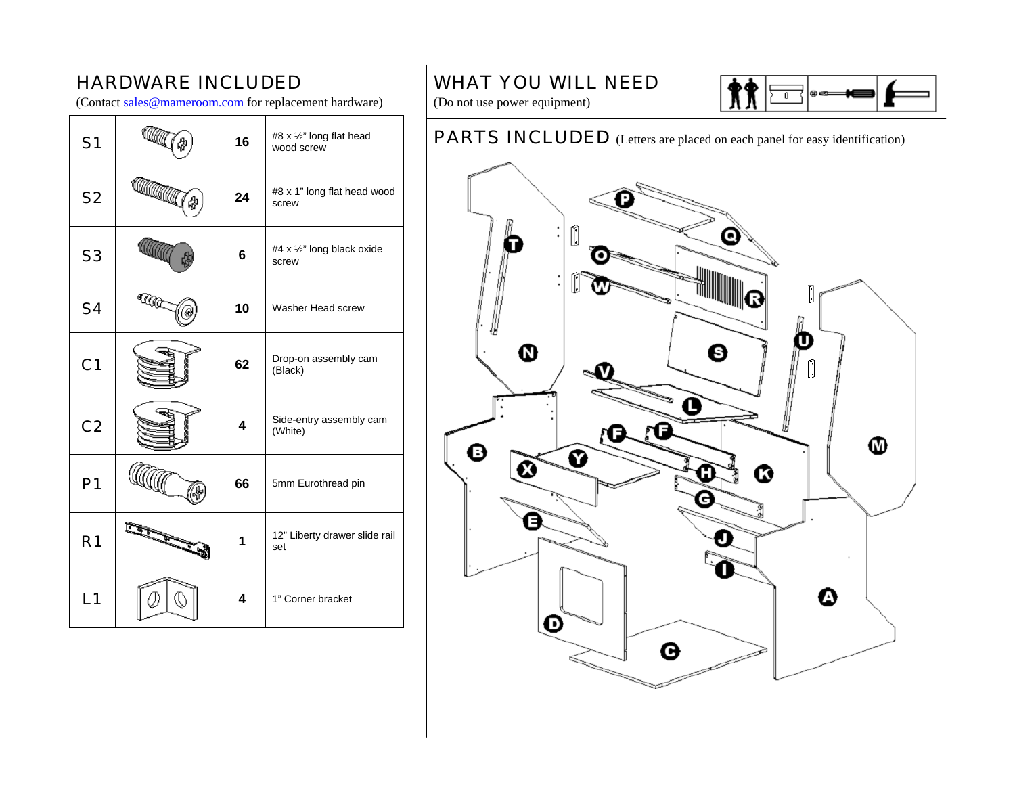# HARDWARE INCLUDED

(Contact sales@mameroom.com for replacement hardware)

| S <sub>1</sub> |              | 16 | #8 x 1/2" long flat head<br>wood screw |
|----------------|--------------|----|----------------------------------------|
| S <sub>2</sub> | <b>Camar</b> | 24 | #8 x 1" long flat head wood<br>screw   |
| S <sub>3</sub> |              | 6  | #4 x 1/2" long black oxide<br>screw    |
| <b>S4</b>      | <b>A</b>     | 10 | Washer Head screw                      |
| C <sub>1</sub> |              | 62 | Drop-on assembly cam<br>(Black)        |
| C <sub>2</sub> |              | 4  | Side-entry assembly cam<br>(White)     |
| P <sub>1</sub> |              | 66 | 5mm Eurothread pin                     |
| R <sub>1</sub> |              | 1  | 12" Liberty drawer slide rail<br>set   |
| L1             |              | 4  | 1" Corner bracket                      |

# WHAT YOU WILL NEED



(Do not use power equipment)

# PARTS INCLUDED (Letters are placed on each panel for easy identification)

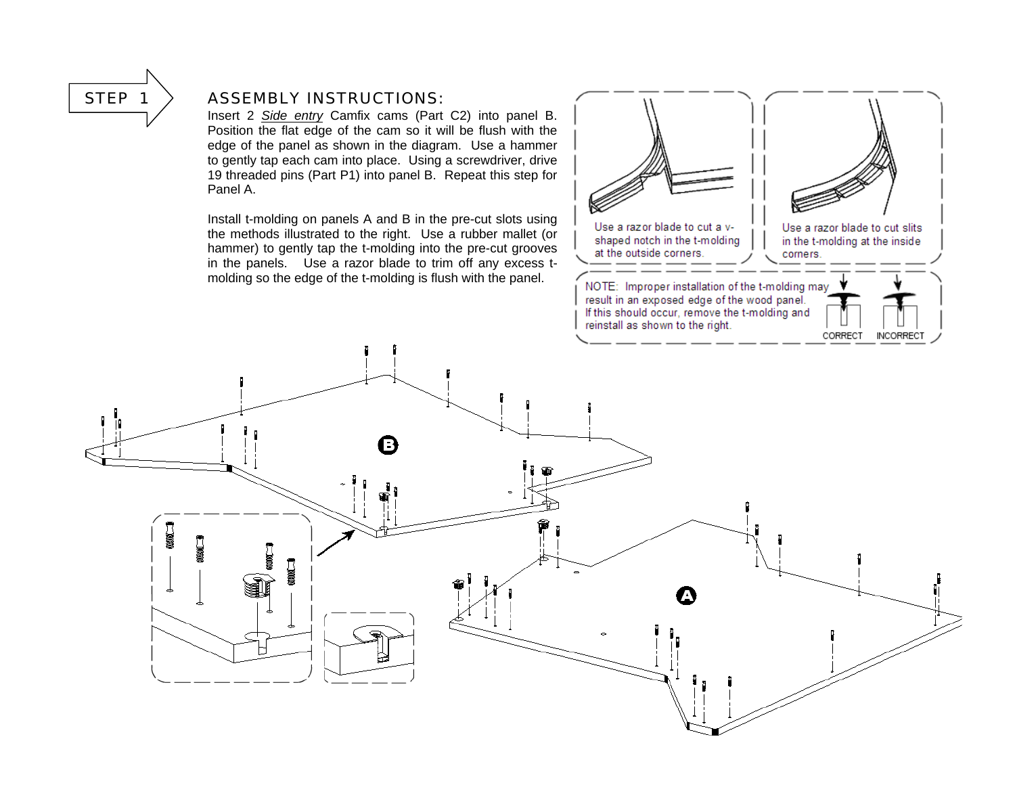

#### STEP  $1$   $>$  ASSEMBLY INSTRUCTIONS:

Insert 2 *Side entry* Camfix cams (Part C2) into panel B. Position the flat edge of the cam so it will be flush with the edge of the panel as shown in the diagram. Use a hammer to gently tap each cam into place. Using a screwdriver, drive 19 threaded pins (Part P1) into panel B. Repeat this step for Panel A.

Install t-molding on panels A and B in the pre-cut slots using the methods illustrated to the right. Use a rubber mallet (or hammer) to gently tap the t-molding into the pre-cut grooves in the panels. Use a razor blade to trim off any excess tmolding so the edge of the t-molding is flush with the panel.



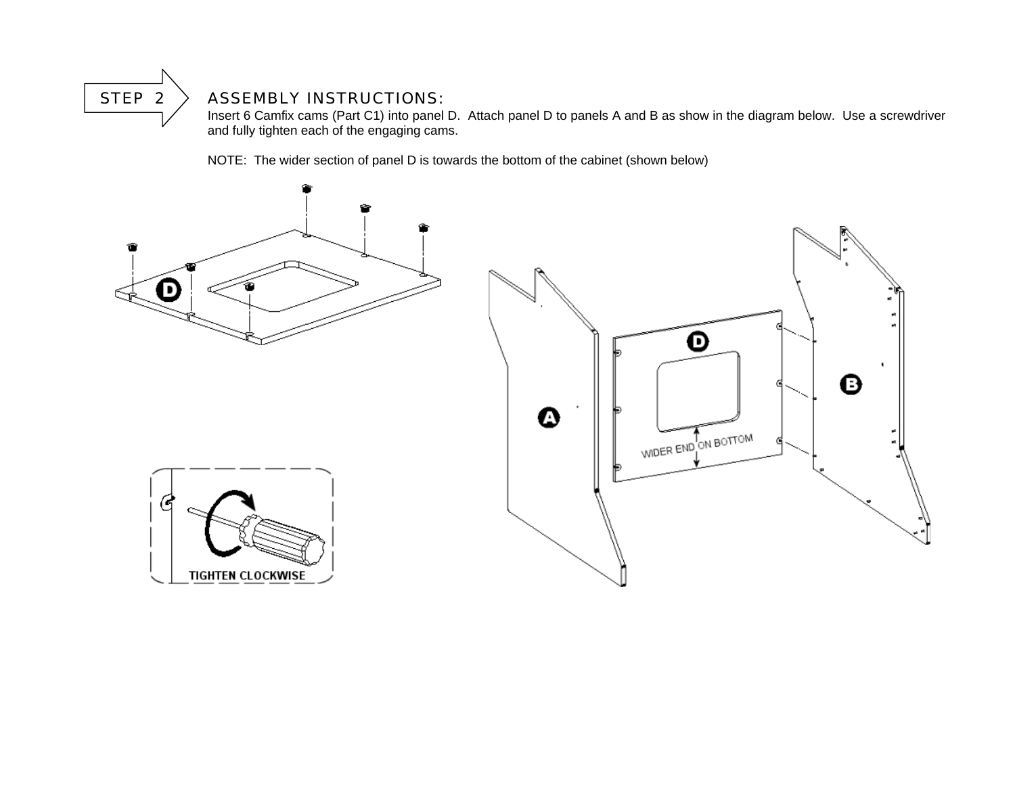### STEP  $2$   $>$  ASSEMBLY INSTRUCTIONS:

 Insert 6 Camfix cams (Part C1) into panel D. Attach panel D to panels A and B as show in the diagram below. Use a screwdriver and fully tighten each of the engaging cams.

NOTE: The wider section of panel D is towards the bottom of the cabinet (shown below)

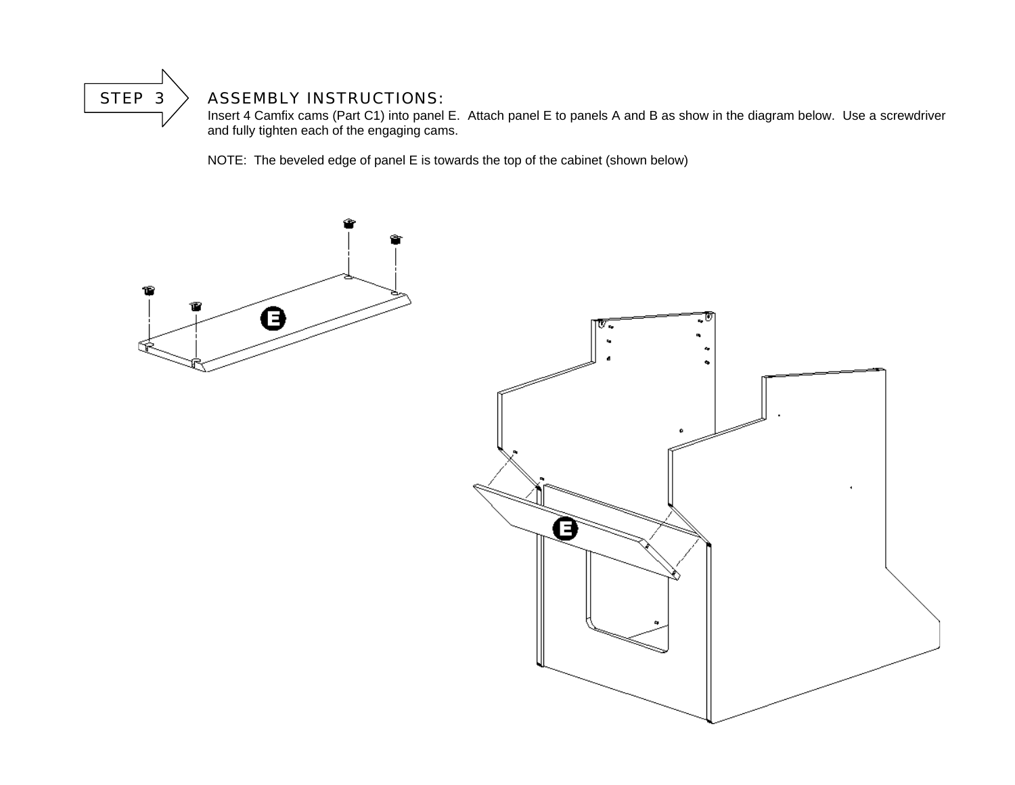### STEP  $3 >$  ASSEMBLY INSTRUCTIONS:

 Insert 4 Camfix cams (Part C1) into panel E. Attach panel E to panels A and B as show in the diagram below. Use a screwdriver and fully tighten each of the engaging cams.

NOTE: The beveled edge of panel E is towards the top of the cabinet (shown below)

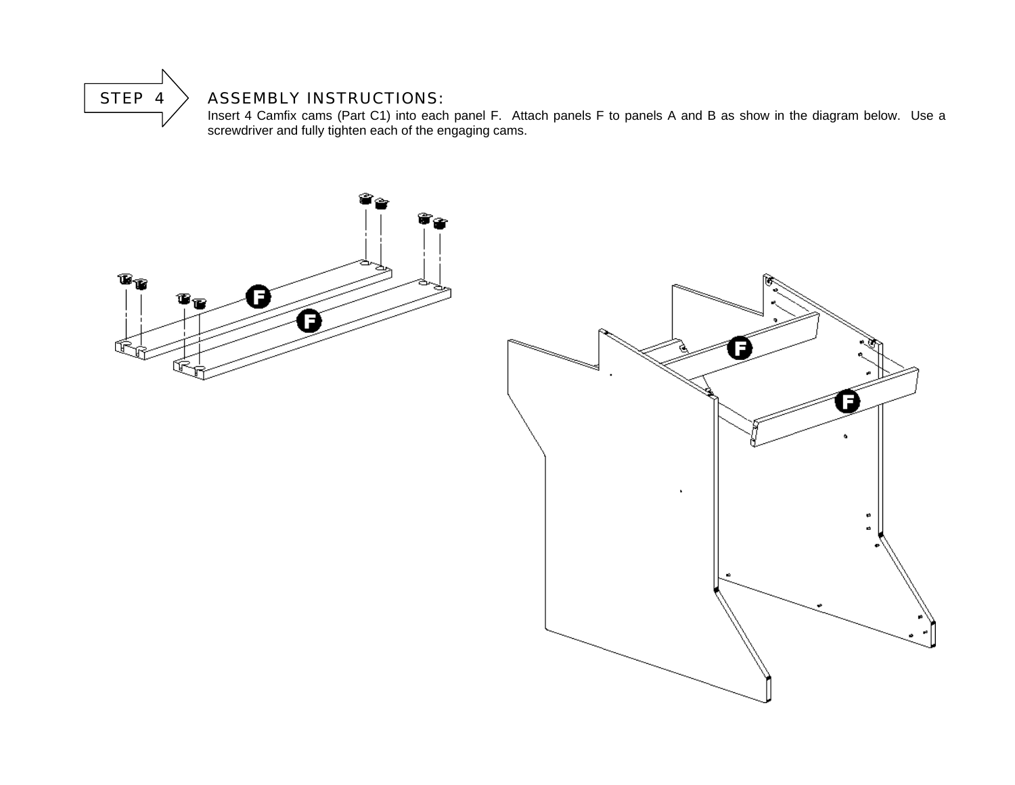

#### $\parallel$  STEP 4  $\parallel$  ASSEMBLY INSTRUCTIONS:

Insert 4 Camfix cams (Part C1) into each panel F. Attach panels F to panels A and B as show in the diagram below. Use a screwdriver and fully tighten each of the engaging cams.

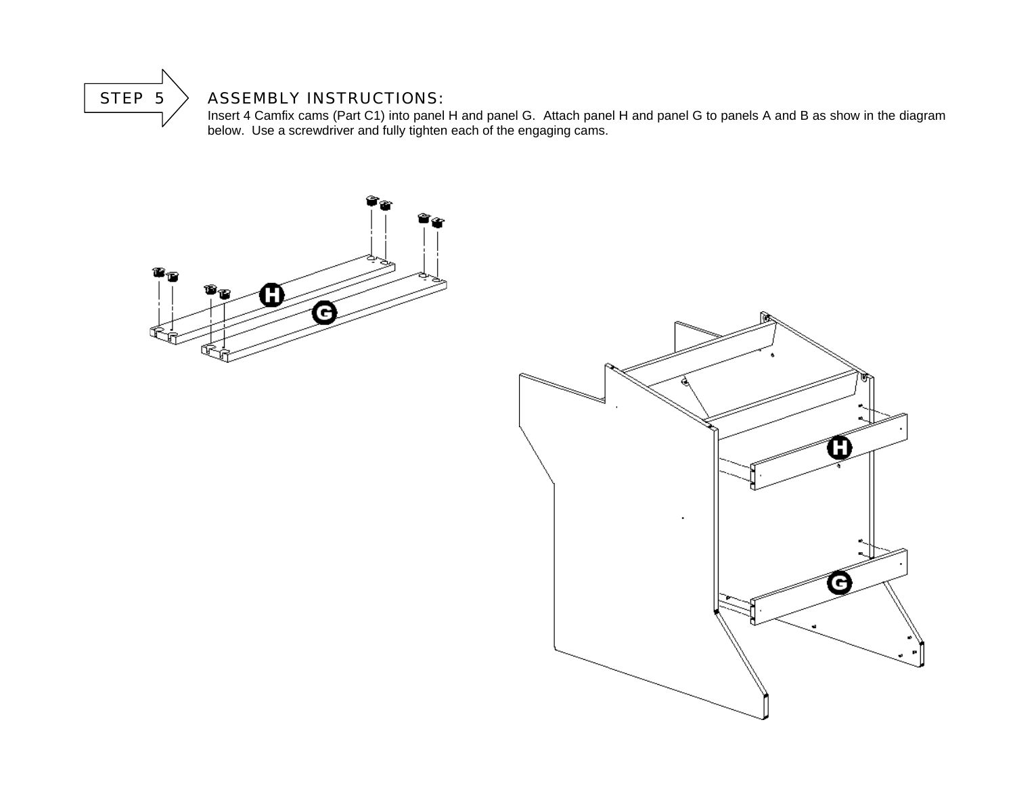

#### $\parallel$  STEP 5  $\parallel$  ASSEMBLY INSTRUCTIONS:

Insert 4 Camfix cams (Part C1) into panel H and panel G. Attach panel H and panel G to panels A and B as show in the diagram below. Use a screwdriver and fully tighten each of the engaging cams.

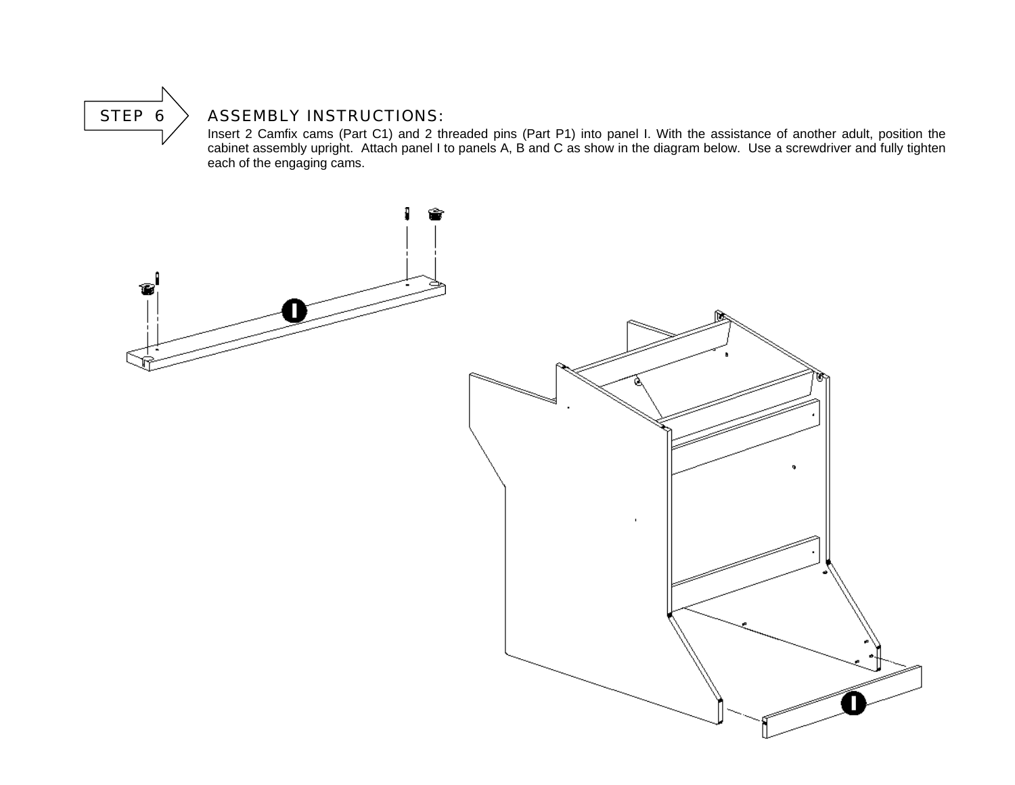

### STEP  $6 >$  ASSEMBLY INSTRUCTIONS:

 Insert 2 Camfix cams (Part C1) and 2 threaded pins (Part P1) into panel I. With the assistance of another adult, position the cabinet assembly upright. Attach panel I to panels A, B and C as show in the diagram below. Use a screwdriver and fully tighten each of the engaging cams.

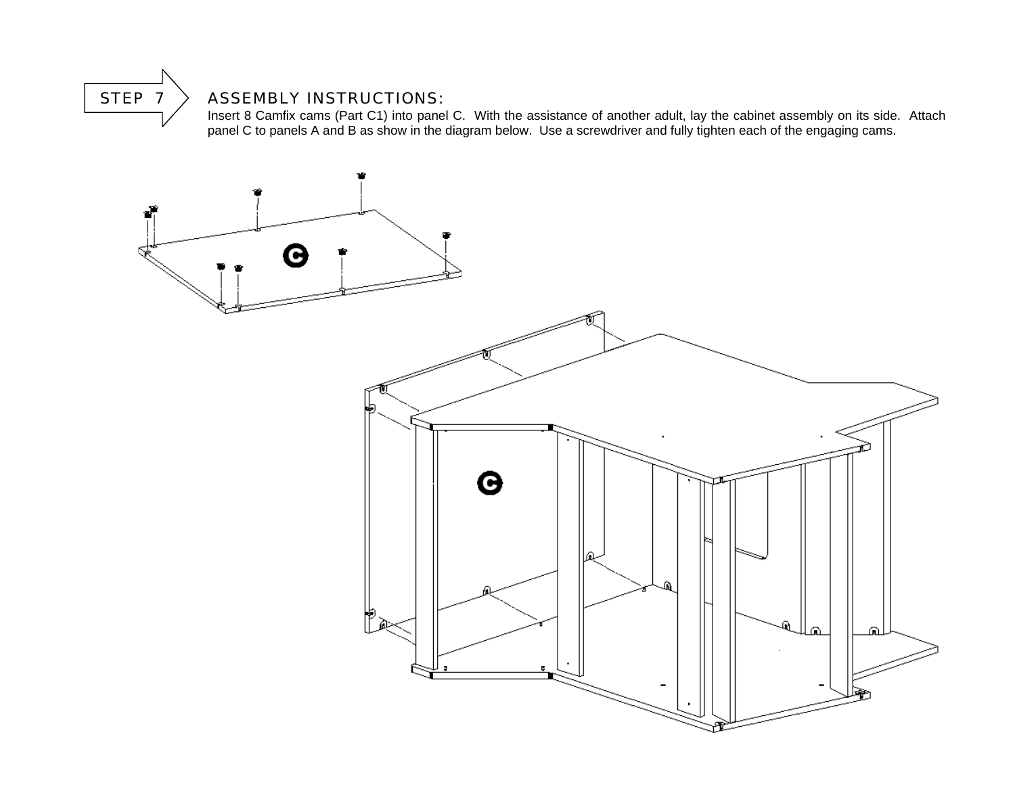# STEP  $7 >$  ASSEMBLY INSTRUCTIONS:

 Insert 8 Camfix cams (Part C1) into panel C. With the assistance of another adult, lay the cabinet assembly on its side. Attach panel C to panels A and B as show in the diagram below. Use a screwdriver and fully tighten each of the engaging cams.

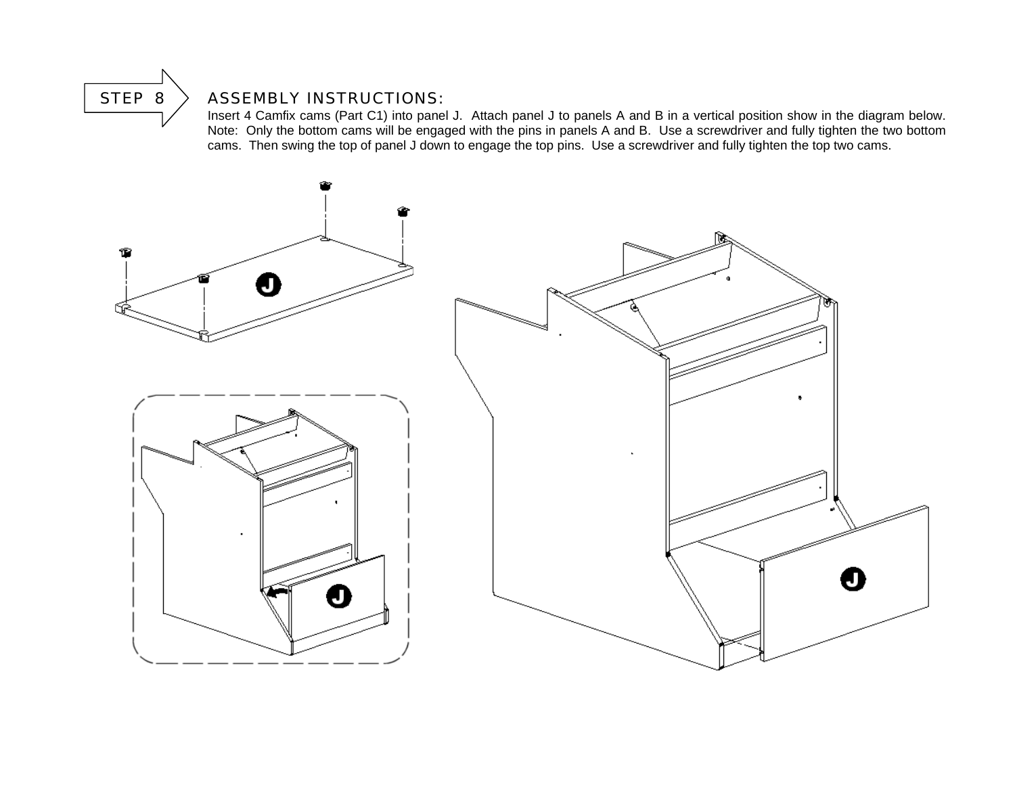

### STEP 8  $\searrow$  ASSEMBLY INSTRUCTIONS:

 Insert 4 Camfix cams (Part C1) into panel J. Attach panel J to panels A and B in a vertical position show in the diagram below. Note: Only the bottom cams will be engaged with the pins in panels A and B. Use a screwdriver and fully tighten the two bottom cams. Then swing the top of panel J down to engage the top pins. Use a screwdriver and fully tighten the top two cams.

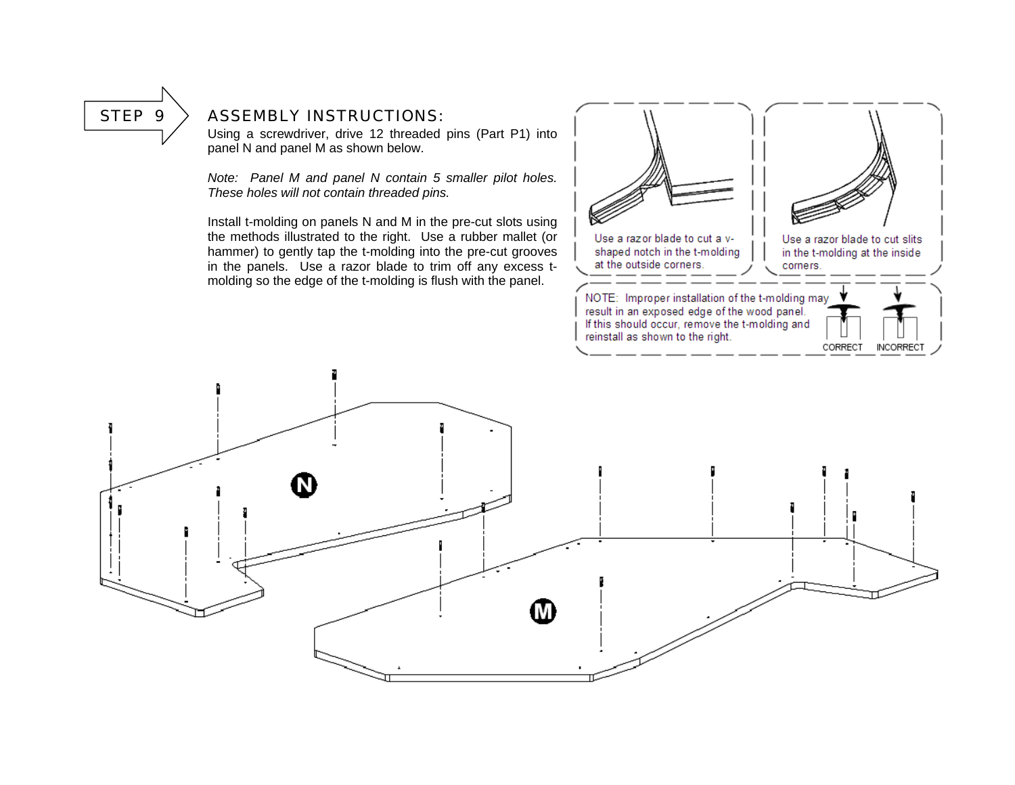#### STEP  $9$   $>$  ASSEMBLY INSTRUCTIONS:

Using a screwdriver, drive 12 threaded pins (Part P1) into panel N and panel M as shown below.

*Note: Panel M and panel N contain 5 smaller pilot holes. These holes will not contain threaded pins.* 

Install t-molding on panels N and M in the pre-cut slots using the methods illustrated to the right. Use a rubber mallet (or hammer) to gently tap the t-molding into the pre-cut grooves in the panels. Use a razor blade to trim off any excess tmolding so the edge of the t-molding is flush with the panel.



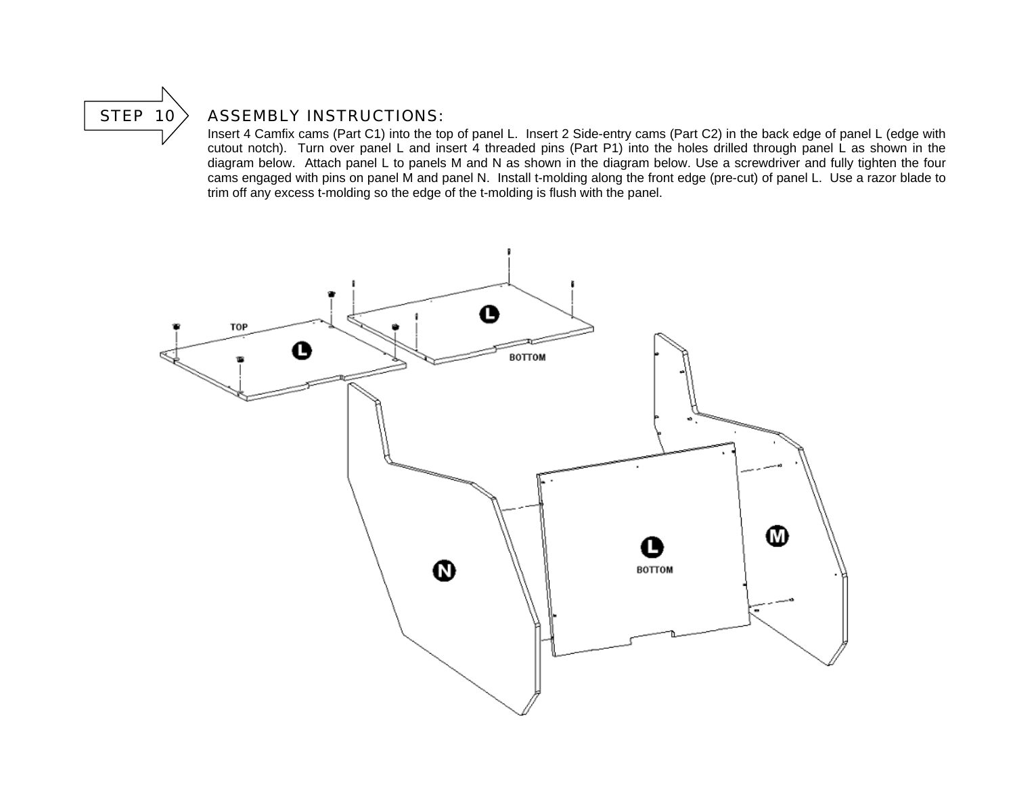

#### STEP  $10$  ASSEMBLY INSTRUCTIONS:

 Insert 4 Camfix cams (Part C1) into the top of panel L. Insert 2 Side-entry cams (Part C2) in the back edge of panel L (edge with cutout notch). Turn over panel L and insert 4 threaded pins (Part P1) into the holes drilled through panel L as shown in the diagram below. Attach panel L to panels M and N as shown in the diagram below. Use a screwdriver and fully tighten the four cams engaged with pins on panel M and panel N. Install t-molding along the front edge (pre-cut) of panel L. Use a razor blade to trim off any excess t-molding so the edge of the t-molding is flush with the panel.

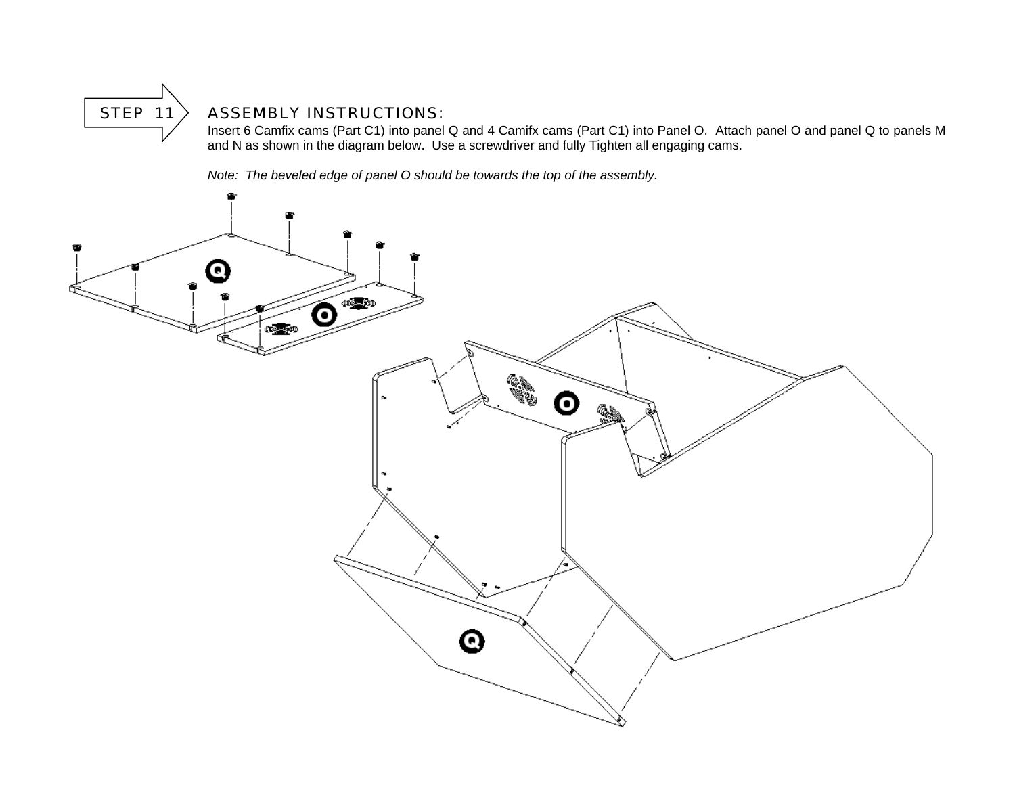

## $STEP 11$  ASSEMBLY INSTRUCTIONS:

 Insert 6 Camfix cams (Part C1) into panel Q and 4 Camifx cams (Part C1) into Panel O. Attach panel O and panel Q to panels M and N as shown in the diagram below. Use a screwdriver and fully Tighten all engaging cams.

*Note: The beveled edge of panel O should be towards the top of the assembly.* 

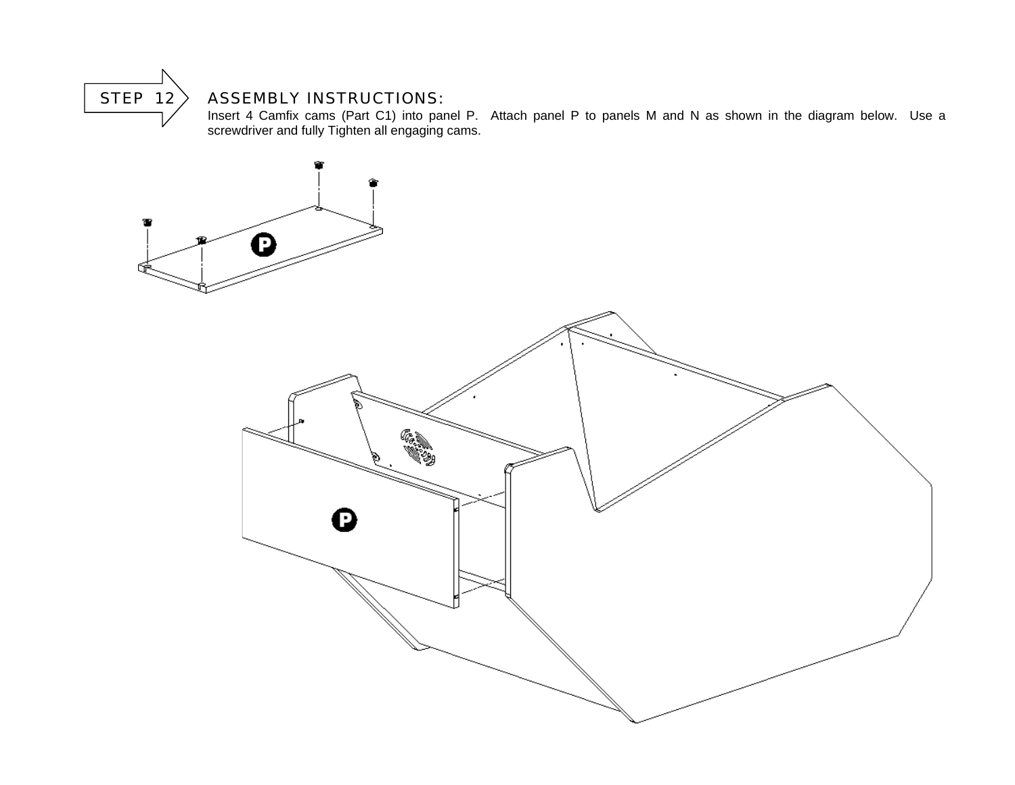

#### $\parallel$  STEP 12  $\parallel$  ASSEMBLY INSTRUCTIONS:

Insert 4 Camfix cams (Part C1) into panel P. Attach panel P to panels M and N as shown in the diagram below. Use a screwdriver and fully Tighten all engaging cams.

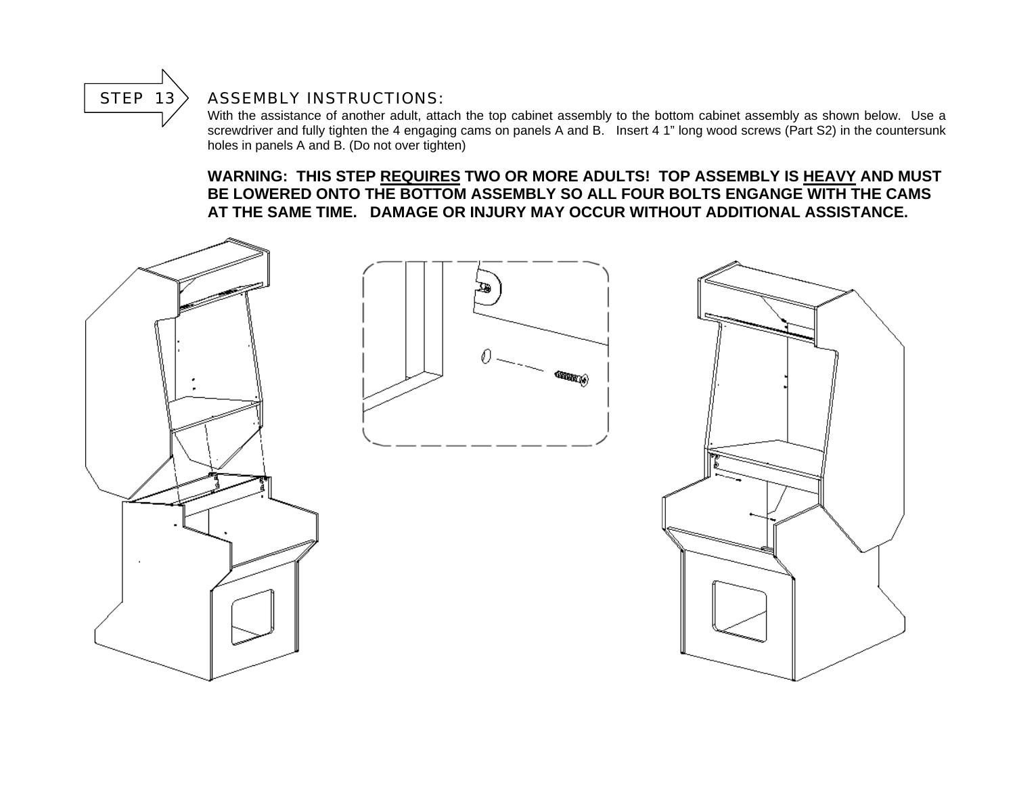

#### STEP  $13$  ASSEMBLY INSTRUCTIONS:

With the assistance of another adult, attach the top cabinet assembly to the bottom cabinet assembly as shown below. Use a screwdriver and fully tighten the 4 engaging cams on panels A and B. Insert 4 1" long wood screws (Part S2) in the countersunk holes in panels A and B. (Do not over tighten)

#### **WARNING: THIS STEP REQUIRES TWO OR MORE ADULTS! TOP ASSEMBLY IS HEAVY AND MUST BE LOWERED ONTO THE BOTTOM ASSEMBLY SO ALL FOUR BOLTS ENGANGE WITH THE CAMS AT THE SAME TIME. DAMAGE OR INJURY MAY OCCUR WITHOUT ADDITIONAL ASSISTANCE.**

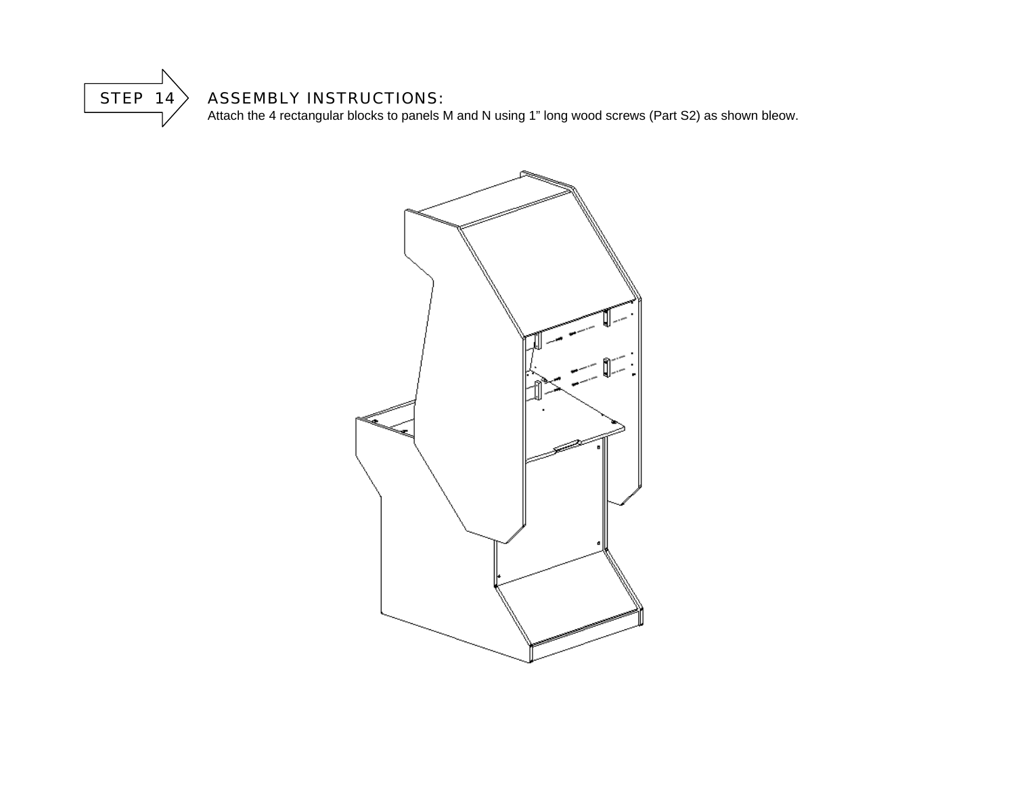

#### $\parallel$  STEP 14  $\parallel$  ASSEMBLY INSTRUCTIONS:

Attach the 4 rectangular blocks to panels M and N using 1" long wood screws (Part S2) as shown bleow.

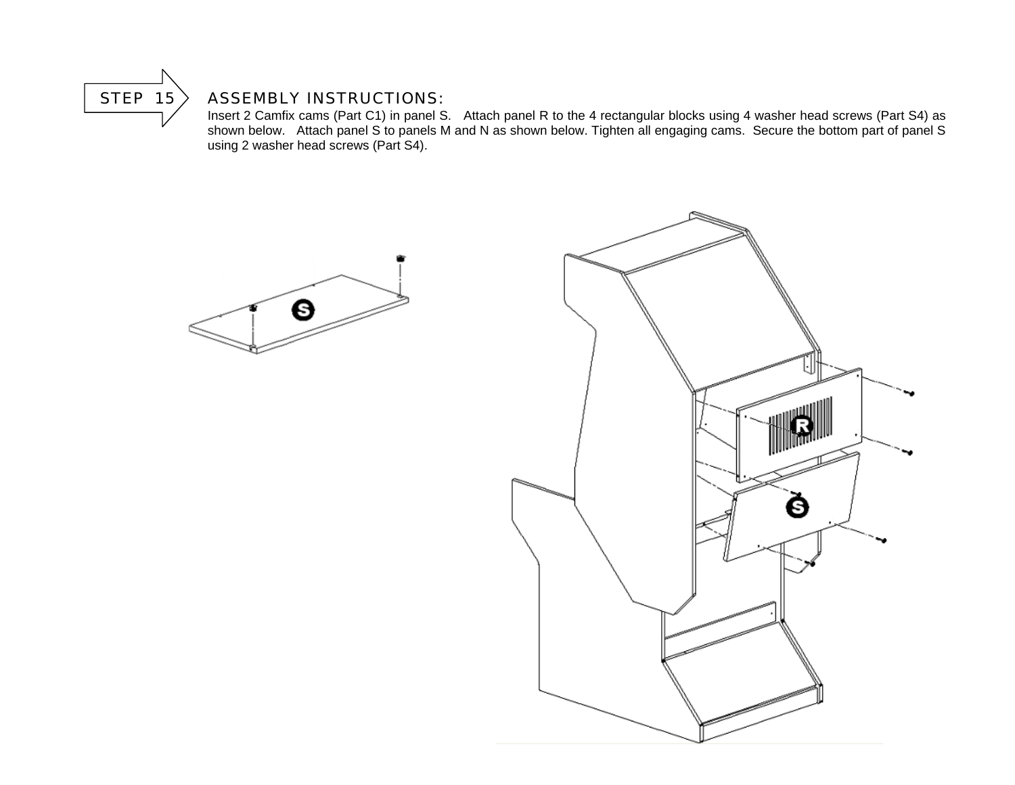

#### STEP  $15$  ASSEMBLY INSTRUCTIONS:

 Insert 2 Camfix cams (Part C1) in panel S. Attach panel R to the 4 rectangular blocks using 4 washer head screws (Part S4) as shown below. Attach panel S to panels M and N as shown below. Tighten all engaging cams. Secure the bottom part of panel S using 2 washer head screws (Part S4).



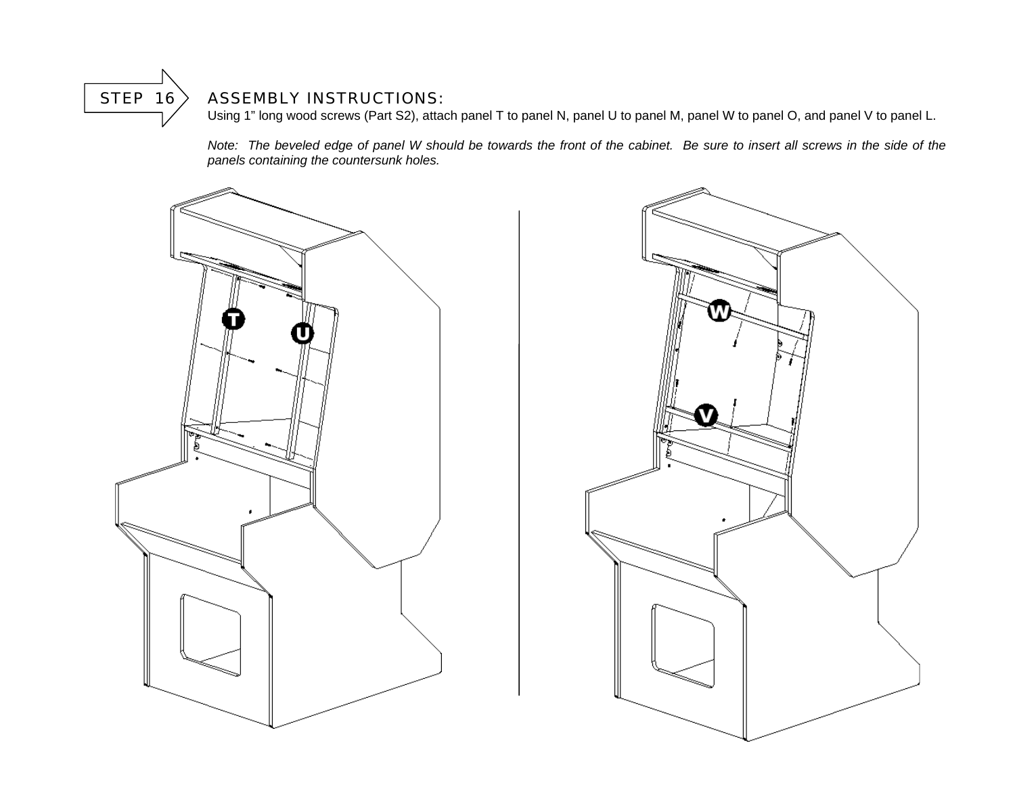

#### STEP  $16$  ASSEMBLY INSTRUCTIONS:

Using 1" long wood screws (Part S2), attach panel T to panel N, panel U to panel M, panel W to panel O, and panel V to panel L.

*Note: The beveled edge of panel W should be towards the front of the cabinet. Be sure to insert all screws in the side of the panels containing the countersunk holes.* 



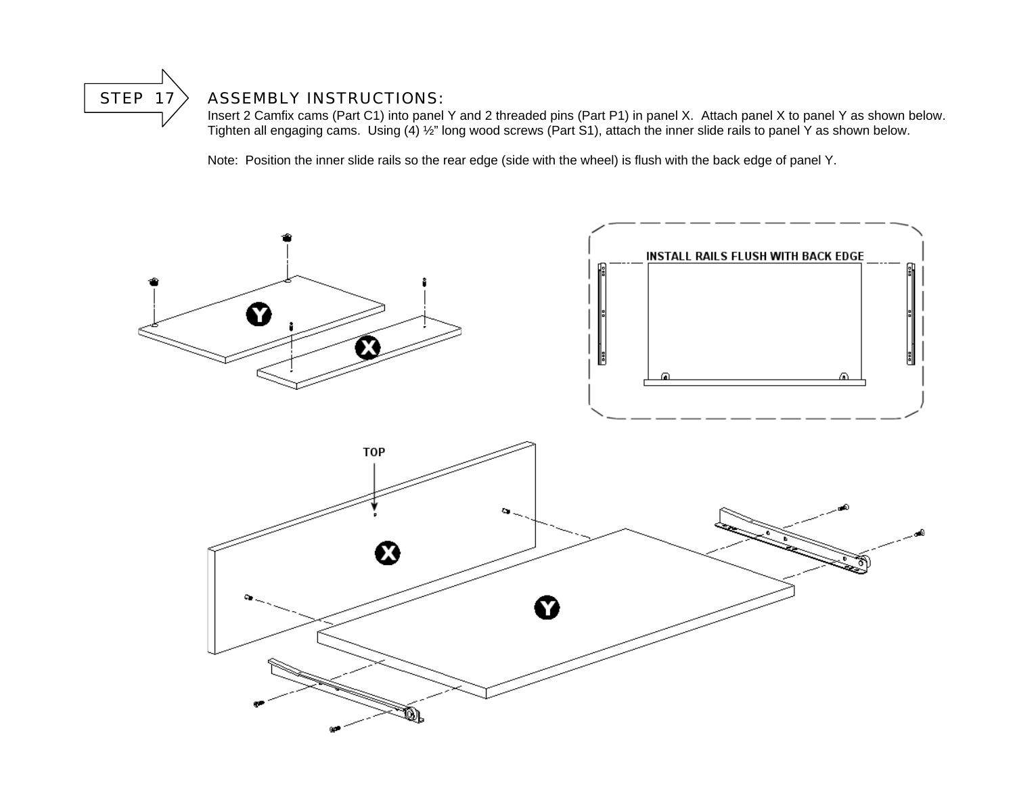

#### STEP  $17$  ASSEMBLY INSTRUCTIONS:

 Insert 2 Camfix cams (Part C1) into panel Y and 2 threaded pins (Part P1) in panel X. Attach panel X to panel Y as shown below. Tighten all engaging cams. Using (4) ½" long wood screws (Part S1), attach the inner slide rails to panel Y as shown below.

Note: Position the inner slide rails so the rear edge (side with the wheel) is flush with the back edge of panel Y.

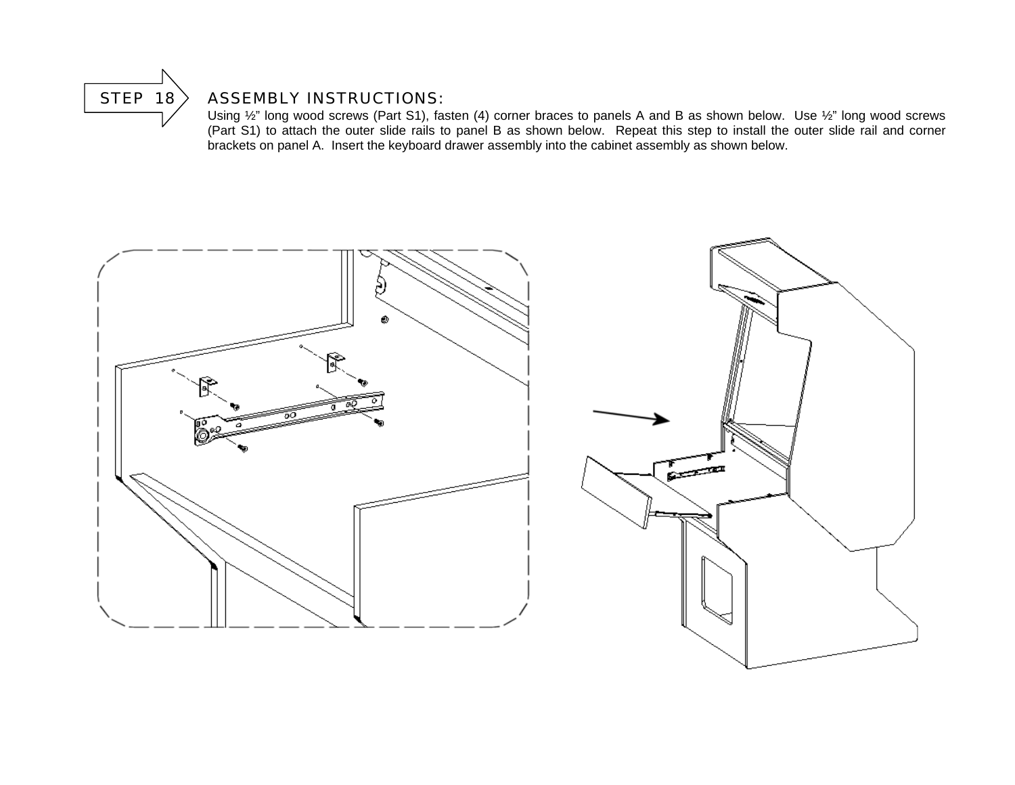

#### STEP  $18$  ASSEMBLY INSTRUCTIONS:

 Using ½" long wood screws (Part S1), fasten (4) corner braces to panels A and B as shown below. Use ½" long wood screws (Part S1) to attach the outer slide rails to panel B as shown below. Repeat this step to install the outer slide rail and corner brackets on panel A. Insert the keyboard drawer assembly into the cabinet assembly as shown below.



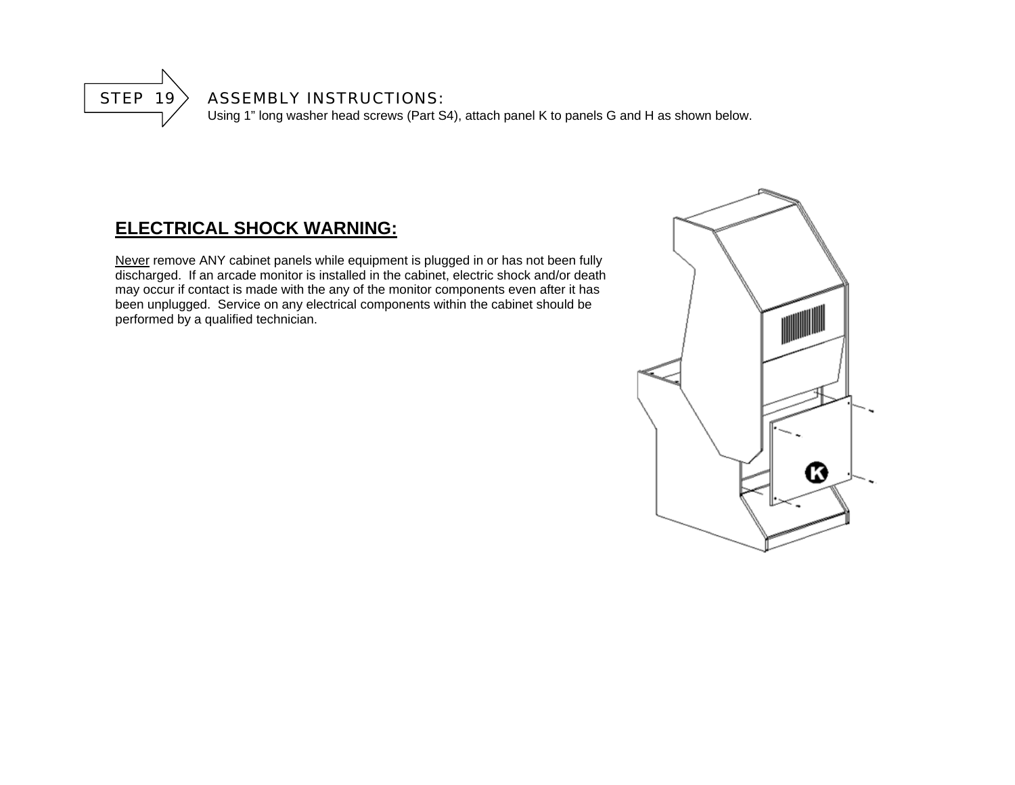

#### STEP  $19$  ASSEMBLY INSTRUCTIONS:

Using 1" long washer head screws (Part S4), attach panel K to panels G and H as shown below.

# **ELECTRICAL SHOCK WARNING:**

Never remove ANY cabinet panels while equipment is plugged in or has not been fully discharged. If an arcade monitor is installed in the cabinet, electric shock and/or death may occur if contact is made with the any of the monitor components even after it has been unplugged. Service on any electrical components within the cabinet should be performed by a qualified technician.

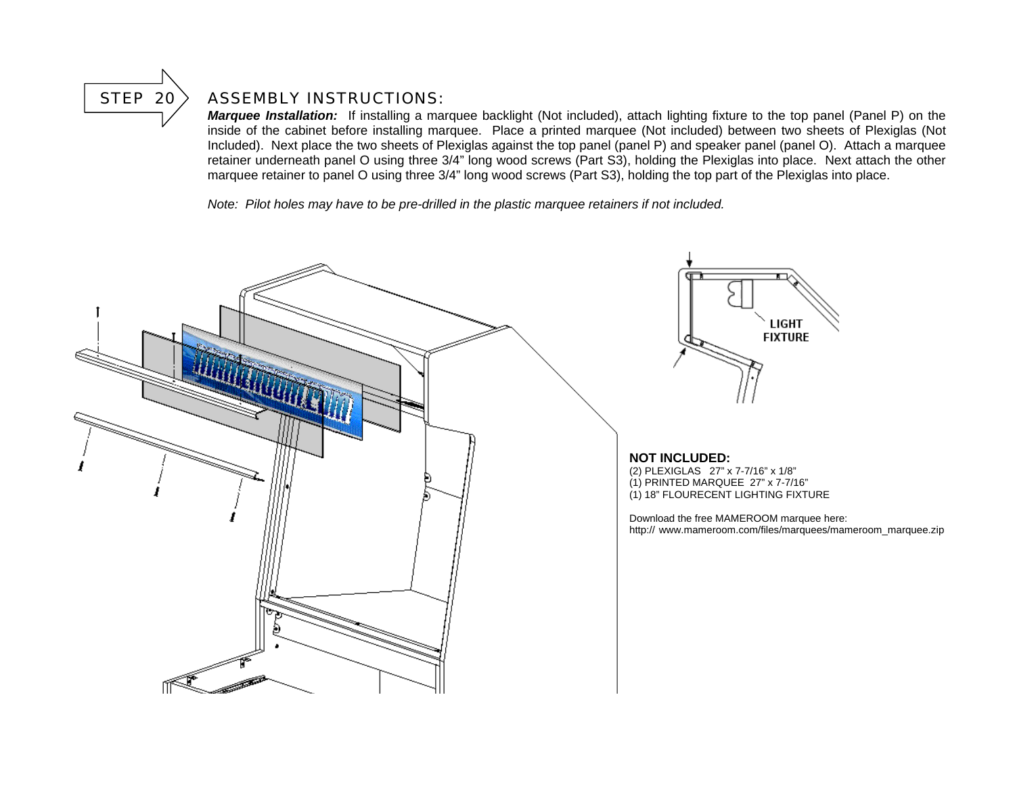

#### STEP 20 > ASSEMBLY INSTRUCTIONS:

*Marquee Installation:* If installing a marquee backlight (Not included), attach lighting fixture to the top panel (Panel P) on the inside of the cabinet before installing marquee. Place a printed marquee (Not included) between two sheets of Plexiglas (Not Included). Next place the two sheets of Plexiglas against the top panel (panel P) and speaker panel (panel O). Attach a marquee retainer underneath panel O using three 3/4" long wood screws (Part S3), holding the Plexiglas into place. Next attach the other marquee retainer to panel O using three 3/4" long wood screws (Part S3), holding the top part of the Plexiglas into place.

*Note: Pilot holes may have to be pre-drilled in the plastic marquee retainers if not included.* 

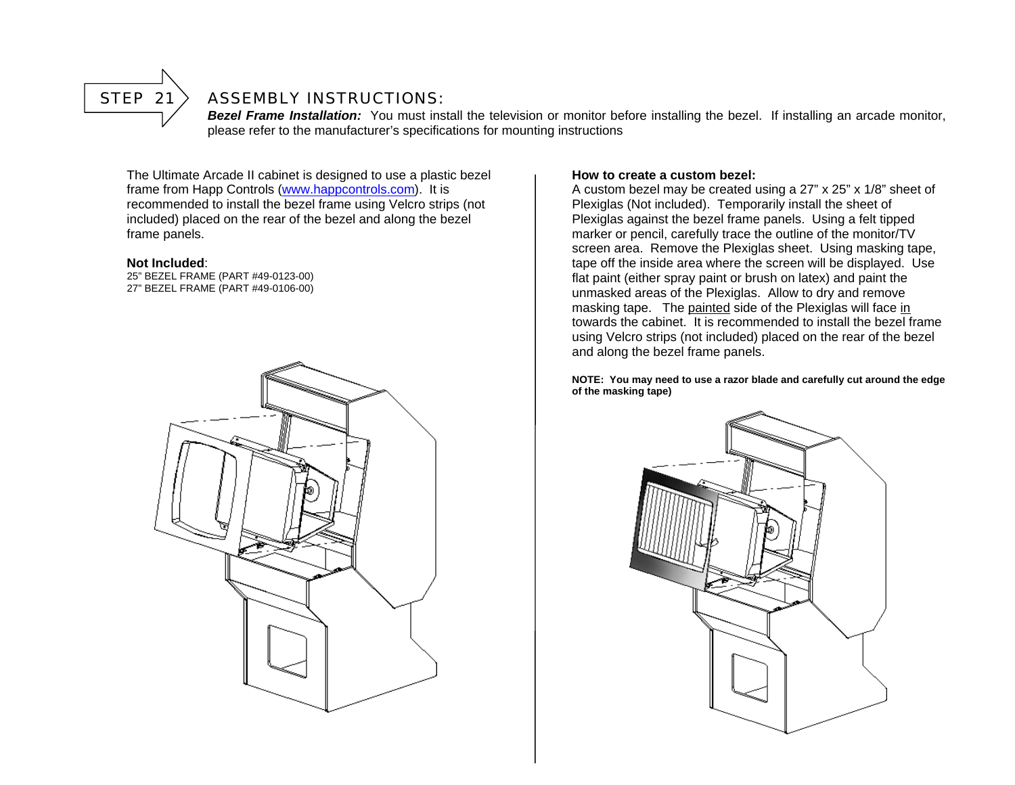

#### $STEP 21$  ASSEMBLY INSTRUCTIONS:

*Bezel Frame Installation:* You must install the television or monitor before installing the bezel. If installing an arcade monitor, please refer to the manufacturer's specifications for mounting instructions

The Ultimate Arcade II cabinet is designed to use a plastic bezel frame from Happ Controls (www.happcontrols.com). It is recommended to install the bezel frame using Velcro strips (not included) placed on the rear of the bezel and along the bezel frame panels.

#### **Not Included**:

 25" BEZEL FRAME (PART #49-0123-00) 27" BEZEL FRAME (PART #49-0106-00)



#### **How to create a custom bezel:**

A custom bezel may be created using a 27" x 25" x 1/8" sheet of Plexiglas (Not included). Temporarily install the sheet of Plexiglas against the bezel frame panels. Using a felt tipped marker or pencil, carefully trace the outline of the monitor/TV screen area. Remove the Plexiglas sheet. Using masking tape, tape off the inside area where the screen will be displayed. Use flat paint (either spray paint or brush on latex) and paint the unmasked areas of the Plexiglas. Allow to dry and remove masking tape. The painted side of the Plexiglas will face in towards the cabinet. It is recommended to install the bezel frame using Velcro strips (not included) placed on the rear of the bezel and along the bezel frame panels.

**NOTE: You may need to use a razor blade and carefully cut around the edge of the masking tape)**